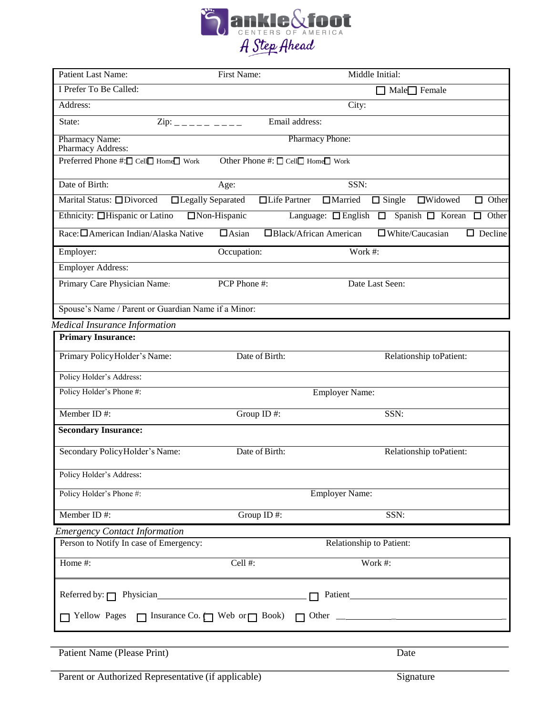

| Patient Last Name:                                                                      | First Name:         |                                   | Middle Initial:                                 |
|-----------------------------------------------------------------------------------------|---------------------|-----------------------------------|-------------------------------------------------|
| I Prefer To Be Called:                                                                  |                     |                                   | $Male$ Female                                   |
| Address:                                                                                |                     | City:                             |                                                 |
| State:<br>$\text{Zip:}$ _ _ _ _ _ _ _ _ _                                               |                     | Email address:                    |                                                 |
| Pharmacy Name:<br>Pharmacy Address:                                                     |                     | Pharmacy Phone:                   |                                                 |
| Preferred Phone #:□ Cell□ Home□ Work                                                    |                     | Other Phone #: □ Cell□ Home□ Work |                                                 |
| Date of Birth:                                                                          | Age:                | SSN:                              |                                                 |
| Marital Status: □ Divorced                                                              | □Legally Separated  | □Life Partner<br>$\Box$ Married   | $\Box$ Widowed<br>$\Box$ Single<br>$\Box$ Other |
| Ethnicity: <b>Hispanic or Latino</b>                                                    | $\Box$ Non-Hispanic | Language: $\Box$ English $\Box$   | Spanish $\Box$ Korean<br>$\Box$ Other           |
| Race: <u>CAmerican Indian/Alaska</u> Native                                             | $\Box$ Asian        | Black/African American            | $\square$ White/Caucasian<br>$\Box$ Decline     |
| Employer:                                                                               | Occupation:         | Work #:                           |                                                 |
| <b>Employer Address:</b>                                                                |                     |                                   |                                                 |
| Primary Care Physician Name:                                                            | PCP Phone #:        |                                   | Date Last Seen:                                 |
| Spouse's Name / Parent or Guardian Name if a Minor:                                     |                     |                                   |                                                 |
| <b>Medical Insurance Information</b>                                                    |                     |                                   |                                                 |
| <b>Primary Insurance:</b>                                                               |                     |                                   |                                                 |
| Primary Policy Holder's Name:                                                           | Date of Birth:      |                                   | Relationship toPatient:                         |
| Policy Holder's Address:                                                                |                     |                                   |                                                 |
| Policy Holder's Phone #:                                                                |                     | <b>Employer Name:</b>             |                                                 |
| Member ID#:                                                                             | Group ID#:          |                                   | SSN:                                            |
| <b>Secondary Insurance:</b>                                                             |                     |                                   |                                                 |
| Secondary Policy Holder's Name:                                                         | Date of Birth:      |                                   | Relationship toPatient:                         |
| Policy Holder's Address:                                                                |                     |                                   |                                                 |
| Policy Holder's Phone #:                                                                |                     | <b>Employer Name:</b>             |                                                 |
| Member ID#:                                                                             | Group ID#:          |                                   | SSN:                                            |
| <b>Emergency Contact Information</b>                                                    |                     |                                   |                                                 |
| Person to Notify In case of Emergency:                                                  |                     | Relationship to Patient:          |                                                 |
| Home #:                                                                                 | Cell#:              |                                   | Work #:                                         |
| Referred by: $\Box$ Physician                                                           |                     | Patient                           |                                                 |
|                                                                                         |                     |                                   |                                                 |
| $\Box$ Yellow Pages $\Box$ Insurance Co. $\Box$ Web or $\Box$ Book) $\Box$ Other $\Box$ |                     |                                   |                                                 |
|                                                                                         |                     |                                   |                                                 |
| Patient Name (Please Print)                                                             |                     |                                   | Date                                            |

Parent or Authorized Representative (if applicable) Signature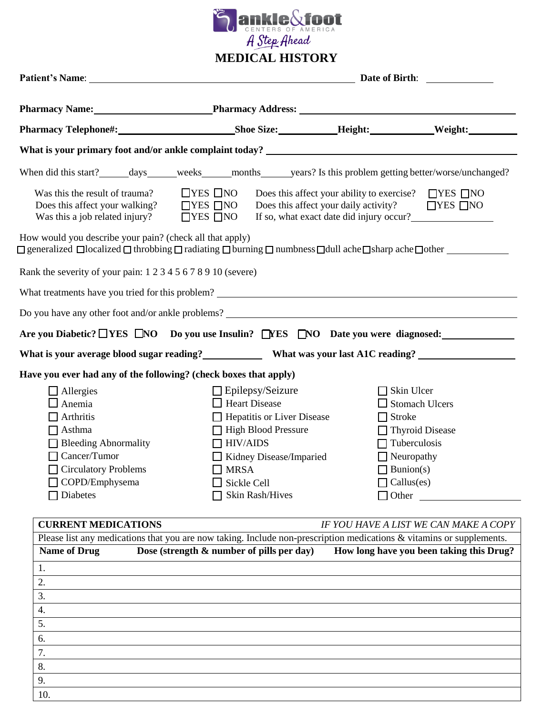

|                                                                                                                                                                                                                  | Patient's Name: Name: Name: Name: Name: Name: Name: Name: Name: Name: Name: Name: Name: Name: Name: Name: Name: Name: Name: Name: Name: Name: Name: Name: Name: Name: Name: Name: Name: Name: Name: Name: Name: Name: Name: Na<br>Date of Birth: |                                                                                                                                                                           |                                          |
|------------------------------------------------------------------------------------------------------------------------------------------------------------------------------------------------------------------|--------------------------------------------------------------------------------------------------------------------------------------------------------------------------------------------------------------------------------------------------|---------------------------------------------------------------------------------------------------------------------------------------------------------------------------|------------------------------------------|
|                                                                                                                                                                                                                  |                                                                                                                                                                                                                                                  |                                                                                                                                                                           |                                          |
|                                                                                                                                                                                                                  |                                                                                                                                                                                                                                                  |                                                                                                                                                                           | Weight:                                  |
|                                                                                                                                                                                                                  |                                                                                                                                                                                                                                                  |                                                                                                                                                                           |                                          |
| When did this start? _______ days ______ weeks ______ months ______ years? Is this problem getting better/worse/unchanged?                                                                                       |                                                                                                                                                                                                                                                  |                                                                                                                                                                           |                                          |
| Was this the result of trauma?<br>Does this affect your walking?<br>Was this a job related injury?                                                                                                               | $\Box$ YES $\Box$ NO<br>$\Box$ YES $\Box$ NO<br>$\Box$ YES $\Box$ NO                                                                                                                                                                             | Does this affect your ability to exercise? $\Box$ YES $\Box$ NO<br>Does this affect your daily activity? $\Box$ YES $\Box$ NO<br>If so, what exact date did injury occur? |                                          |
| How would you describe your pain? (check all that apply)<br>$\Box$ generalized $\Box$ localized $\Box$ throbbing $\Box$ radiating $\Box$ burning $\Box$ numbness $\Box$ dull ache $\Box$ sharp ache $\Box$ other |                                                                                                                                                                                                                                                  |                                                                                                                                                                           |                                          |
| Rank the severity of your pain: 1 2 3 4 5 6 7 8 9 10 (severe)                                                                                                                                                    |                                                                                                                                                                                                                                                  |                                                                                                                                                                           |                                          |
|                                                                                                                                                                                                                  |                                                                                                                                                                                                                                                  |                                                                                                                                                                           |                                          |
|                                                                                                                                                                                                                  |                                                                                                                                                                                                                                                  |                                                                                                                                                                           |                                          |
| Are you Diabetic? <u>NES NO</u> Do you use Insulin? NES NO Date you were diagnosed:                                                                                                                              |                                                                                                                                                                                                                                                  |                                                                                                                                                                           |                                          |
| What is your average blood sugar reading?______________ What was your last A1C reading? ______________________                                                                                                   |                                                                                                                                                                                                                                                  |                                                                                                                                                                           |                                          |
| Have you ever had any of the following? (check boxes that apply)                                                                                                                                                 |                                                                                                                                                                                                                                                  |                                                                                                                                                                           |                                          |
| $\Box$ Allergies<br>$\Box$ Anemia<br>$\Box$ Arthritis<br>$\Box$ Asthma<br>$\Box$ Bleeding Abnormality<br>$\Box$ Cancer/Tumor<br>Circulatory Problems<br>$\Box$ COPD/Emphysema                                    | $\Box$ Epilepsy/Seizure<br>$\Box$ Heart Disease<br>$\Box$ Hepatitis or Liver Disease<br>High Blood Pressure<br>$\Box$ HIV/AIDS<br>$\Box$ Kidney Disease/Imparied<br>$\Box$ MRSA<br>$\Box$ Sickle Cell                                            | Skin Ulcer<br>$\Box$ Stroke<br>$\Box$ Tuberculosis<br>$\Box$ Neuropathy<br>$\Box$ Bunion(s)<br>$\Box$ Callus(es)                                                          | $\Box$ Stomach Ulcers<br>Thyroid Disease |
| $\Box$ Diabetes                                                                                                                                                                                                  | Skin Rash/Hives                                                                                                                                                                                                                                  |                                                                                                                                                                           | $\Box$ Other                             |

| <b>CURRENT MEDICATIONS</b> |                                                                                                                         | IF YOU HAVE A LIST WE CAN MAKE A COPY    |
|----------------------------|-------------------------------------------------------------------------------------------------------------------------|------------------------------------------|
|                            | Please list any medications that you are now taking. Include non-prescription medications $\&$ vitamins or supplements. |                                          |
| <b>Name of Drug</b>        | Dose (strength $\&$ number of pills per day)                                                                            | How long have you been taking this Drug? |
| 1.                         |                                                                                                                         |                                          |
| 2.                         |                                                                                                                         |                                          |
| 3.                         |                                                                                                                         |                                          |
| 4.                         |                                                                                                                         |                                          |
| 5.                         |                                                                                                                         |                                          |
| 6.                         |                                                                                                                         |                                          |
| 7.                         |                                                                                                                         |                                          |
| 8.                         |                                                                                                                         |                                          |
| 9.                         |                                                                                                                         |                                          |
| 10.                        |                                                                                                                         |                                          |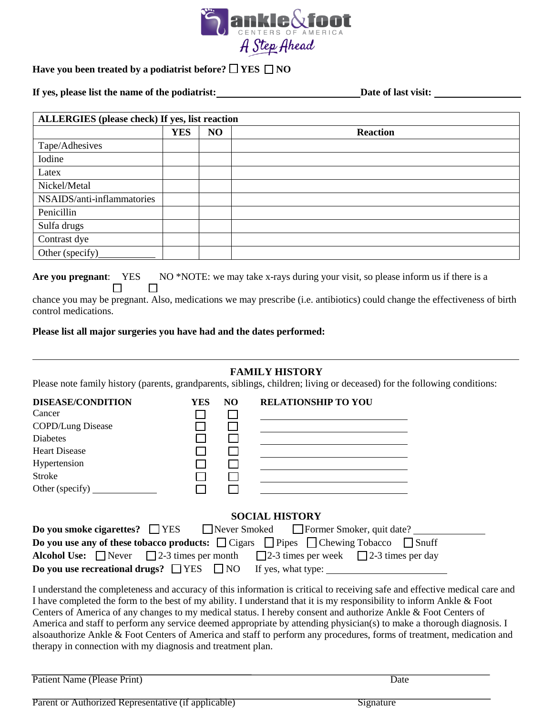

## **Have you been treated by a podiatrist before? YES NO**

**If yes, please list the name of the podiatrist: Date of last visit:** 

 $\Box$   $\Box$ 

| ALLERGIES (please check) If yes, list reaction |            |    |                 |
|------------------------------------------------|------------|----|-----------------|
|                                                | <b>YES</b> | NO | <b>Reaction</b> |
| Tape/Adhesives                                 |            |    |                 |
| Iodine                                         |            |    |                 |
| Latex                                          |            |    |                 |
| Nickel/Metal                                   |            |    |                 |
| NSAIDS/anti-inflammatories                     |            |    |                 |
| Penicillin                                     |            |    |                 |
| Sulfa drugs                                    |            |    |                 |
| Contrast dye                                   |            |    |                 |
| Other (specify)                                |            |    |                 |

Are you pregnant: YES NO<sup>\*</sup>NOTE: we may take x-rays during your visit, so please inform us if there is a

chance you may be pregnant. Also, medications we may prescribe (i.e. antibiotics) could change the effectiveness of birth control medications.

### **Please list all major surgeries you have had and the dates performed:**

### **FAMILY HISTORY**

Please note family history (parents, grandparents, siblings, children; living or deceased) for the following conditions:

| <b>DISEASE/CONDITION</b>        | <b>YES</b> | N <sub>O</sub> | <b>RELATIONSHIP TO YOU</b>                                                                                      |
|---------------------------------|------------|----------------|-----------------------------------------------------------------------------------------------------------------|
| Cancer                          |            |                |                                                                                                                 |
| COPD/Lung Disease               |            |                |                                                                                                                 |
| <b>Diabetes</b>                 |            |                |                                                                                                                 |
| <b>Heart Disease</b>            |            |                |                                                                                                                 |
| Hypertension                    |            |                |                                                                                                                 |
| Stroke                          |            |                |                                                                                                                 |
| Other (specify) $\qquad \qquad$ |            |                |                                                                                                                 |
|                                 |            |                |                                                                                                                 |
|                                 |            |                | <b>SOCIAL HISTORY</b>                                                                                           |
|                                 |            |                | <b>Do you smoke cigarettes?</b> $\Box$ YES $\Box$ Never Smoked $\Box$ Former Smoker, quit date?                 |
|                                 |            |                | <b>Do you use any of these tobacco products:</b> $\Box$ Cigars $\Box$ Pipes $\Box$ Chewing Tobacco $\Box$ Snuff |
|                                 |            |                | <b>Alcohol Use:</b> Never 2-3 times per month 2-3 times per week $\Box$ 2-3 times per day                       |
|                                 |            |                | <b>Do you use recreational drugs?</b> $\Box$ YES $\Box$ NO If yes, what type:                                   |
|                                 |            |                |                                                                                                                 |

I understand the completeness and accuracy of this information is critical to receiving safe and effective medical care and I have completed the form to the best of my ability. I understand that it is my responsibility to inform Ankle & Foot Centers of America of any changes to my medical status. I hereby consent and authorize Ankle & Foot Centers of America and staff to perform any service deemed appropriate by attending physician(s) to make a thorough diagnosis. I alsoauthorize Ankle & Foot Centers of America and staff to perform any procedures, forms of treatment, medication and therapy in connection with my diagnosis and treatment plan.

|  | Patient Name (Please Print) | Jate |
|--|-----------------------------|------|
|--|-----------------------------|------|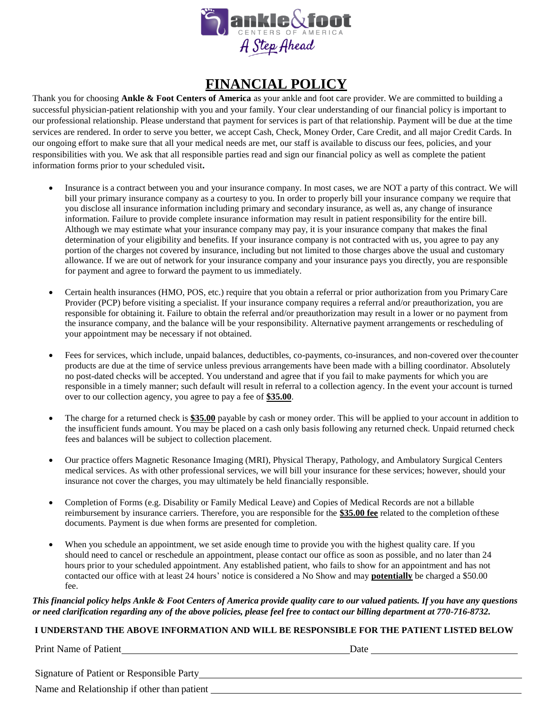

# **FINANCIAL POLICY**

Thank you for choosing **Ankle & Foot Centers of America** as your ankle and foot care provider. We are committed to building a successful physician-patient relationship with you and your family. Your clear understanding of our financial policy is important to our professional relationship. Please understand that payment for services is part of that relationship. Payment will be due at the time services are rendered. In order to serve you better, we accept Cash, Check, Money Order, Care Credit, and all major Credit Cards. In our ongoing effort to make sure that all your medical needs are met, our staff is available to discuss our fees, policies, and your responsibilities with you. We ask that all responsible parties read and sign our financial policy as well as complete the patient information forms prior to your scheduled visit**.**

- Insurance is a contract between you and your insurance company. In most cases, we are NOT a party of this contract. We will bill your primary insurance company as a courtesy to you. In order to properly bill your insurance company we require that you disclose all insurance information including primary and secondary insurance, as well as, any change of insurance information. Failure to provide complete insurance information may result in patient responsibility for the entire bill. Although we may estimate what your insurance company may pay, it is your insurance company that makes the final determination of your eligibility and benefits. If your insurance company is not contracted with us, you agree to pay any portion of the charges not covered by insurance, including but not limited to those charges above the usual and customary allowance. If we are out of network for your insurance company and your insurance pays you directly, you are responsible for payment and agree to forward the payment to us immediately.
- Certain health insurances (HMO, POS, etc.) require that you obtain a referral or prior authorization from you PrimaryCare Provider (PCP) before visiting a specialist. If your insurance company requires a referral and/or preauthorization, you are responsible for obtaining it. Failure to obtain the referral and/or preauthorization may result in a lower or no payment from the insurance company, and the balance will be your responsibility. Alternative payment arrangements or rescheduling of your appointment may be necessary if not obtained.
- Fees for services, which include, unpaid balances, deductibles, co-payments, co-insurances, and non-covered over thecounter products are due at the time of service unless previous arrangements have been made with a billing coordinator. Absolutely no post-dated checks will be accepted. You understand and agree that if you fail to make payments for which you are responsible in a timely manner; such default will result in referral to a collection agency. In the event your account is turned over to our collection agency, you agree to pay a fee of **\$35.00**.
- The charge for a returned check is **\$35.00** payable by cash or money order. This will be applied to your account in addition to the insufficient funds amount. You may be placed on a cash only basis following any returned check. Unpaid returned check fees and balances will be subject to collection placement.
- Our practice offers Magnetic Resonance Imaging (MRI), Physical Therapy, Pathology, and Ambulatory Surgical Centers medical services. As with other professional services, we will bill your insurance for these services; however, should your insurance not cover the charges, you may ultimately be held financially responsible.
- Completion of Forms (e.g. Disability or Family Medical Leave) and Copies of Medical Records are not a billable reimbursement by insurance carriers. Therefore, you are responsible for the **\$35.00 fee** related to the completion ofthese documents. Payment is due when forms are presented for completion.
- When you schedule an appointment, we set aside enough time to provide you with the highest quality care. If you should need to cancel or reschedule an appointment, please contact our office as soon as possible, and no later than 24 hours prior to your scheduled appointment. Any established patient, who fails to show for an appointment and has not contacted our office with at least 24 hours' notice is considered a No Show and may **potentially** be charged a \$50.00 fee.

*This financial policy helps Ankle & Foot Centers of America provide quality care to our valued patients. If you have any questions or need clarification regarding any of the above policies, please feel free to contact our billing department at 770-716-8732.*

#### **I UNDERSTAND THE ABOVE INFORMATION AND WILL BE RESPONSIBLE FOR THE PATIENT LISTED BELOW**

Print Name of Patient **Date** 

Signature of Patient or Responsible Party

Name and Relationship if other than patient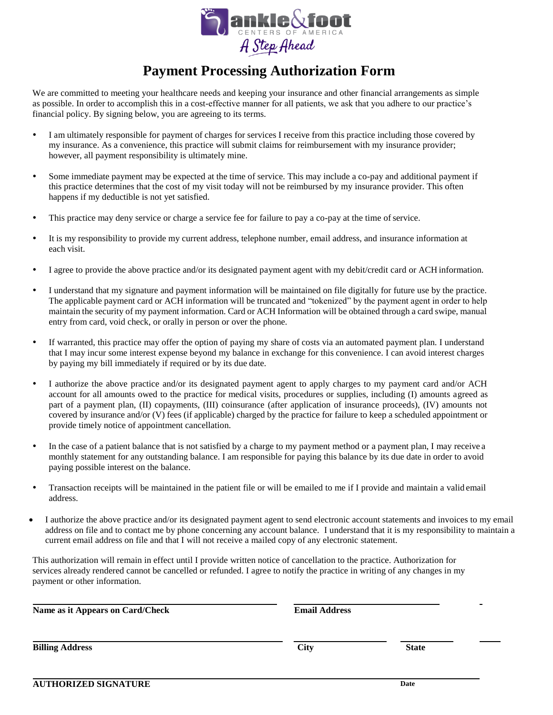

# **Payment Processing Authorization Form**

We are committed to meeting your healthcare needs and keeping your insurance and other financial arrangements as simple as possible. In order to accomplish this in a cost-effective manner for all patients, we ask that you adhere to our practice's financial policy. By signing below, you are agreeing to its terms.

- I am ultimately responsible for payment of charges for services I receive from this practice including those covered by my insurance. As a convenience, this practice will submit claims for reimbursement with my insurance provider; however, all payment responsibility is ultimately mine.
- Some immediate payment may be expected at the time of service. This may include a co-pay and additional payment if this practice determines that the cost of my visit today will not be reimbursed by my insurance provider. This often happens if my deductible is not yet satisfied.
- This practice may deny service or charge a service fee for failure to pay a co-pay at the time ofservice.
- It is my responsibility to provide my current address, telephone number, email address, and insurance information at each visit.
- I agree to provide the above practice and/or its designated payment agent with my debit/credit card or ACH information.
- I understand that my signature and payment information will be maintained on file digitally for future use by the practice. The applicable payment card or ACH information will be truncated and "tokenized" by the payment agent in order to help maintain the security of my payment information. Card or ACH Information will be obtained through a card swipe, manual entry from card, void check, or orally in person or over the phone.
- If warranted, this practice may offer the option of paying my share of costs via an automated payment plan. I understand that I may incur some interest expense beyond my balance in exchange for this convenience. I can avoid interest charges by paying my bill immediately if required or by its due date.
- I authorize the above practice and/or its designated payment agent to apply charges to my payment card and/or ACH account for all amounts owed to the practice for medical visits, procedures or supplies, including (I) amounts agreed as part of a payment plan, (II) copayments, (III) coinsurance (after application of insurance proceeds), (IV) amounts not covered by insurance and/or (V) fees (if applicable) charged by the practice for failure to keep a scheduled appointment or provide timely notice of appointment cancellation.
- In the case of a patient balance that is not satisfied by a charge to my payment method or a payment plan, I may receive a monthly statement for any outstanding balance. I am responsible for paying this balance by its due date in order to avoid paying possible interest on the balance.
- Transaction receipts will be maintained in the patient file or will be emailed to me if I provide and maintain a valid email address.
- I authorize the above practice and/or its designated payment agent to send electronic account statements and invoices to my email address on file and to contact me by phone concerning any account balance. I understand that it is my responsibility to maintain a current email address on file and that I will not receive a mailed copy of any electronic statement.

This authorization will remain in effect until I provide written notice of cancellation to the practice. Authorization for services already rendered cannot be cancelled or refunded. I agree to notify the practice in writing of any changes in my payment or other information.

**Name as it Appears on Card/Check Email Address** 

**Billing Address City State**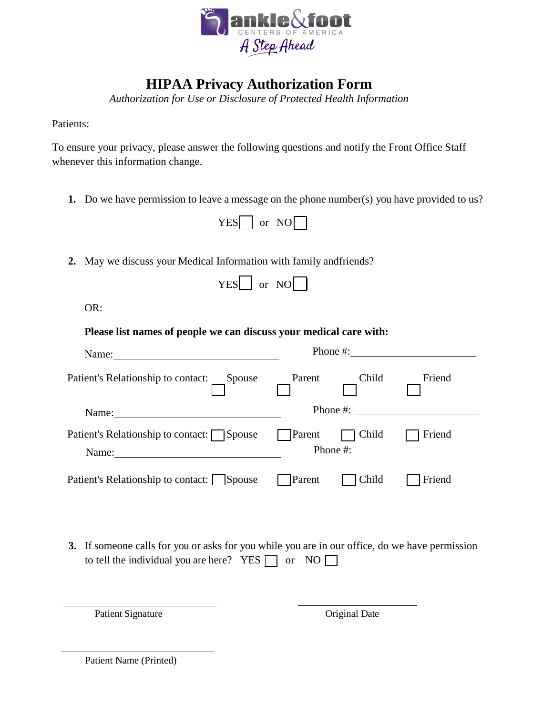

# **HIPAA Privacy Authorization Form**

*Authorization for Use or Disclosure of Protected Health Information*

Patients:

To ensure your privacy, please answer the following questions and notify the Front Office Staff whenever this information change.

**1.** Do we have permission to leave a message on the phone number(s) you have provided to us?

|  | ωr | \∣( |  |
|--|----|-----|--|
|--|----|-----|--|

**2.** May we discuss your Medical Information with family andfriends?

| and a fact of the second | Ωr | Ⅵ€ |  |
|--------------------------|----|----|--|
|                          |    |    |  |

OR:

| Phone #: $\frac{1}{2}$ $\frac{1}{2}$ $\frac{1}{2}$ $\frac{1}{2}$ $\frac{1}{2}$ $\frac{1}{2}$ $\frac{1}{2}$ $\frac{1}{2}$ $\frac{1}{2}$ $\frac{1}{2}$ $\frac{1}{2}$ $\frac{1}{2}$ $\frac{1}{2}$ $\frac{1}{2}$ $\frac{1}{2}$ $\frac{1}{2}$ $\frac{1}{2}$ $\frac{1}{2}$ $\frac{1}{2}$ $\frac{1}{2}$ $\frac{1}{2}$ $\$ |       |                                                                                                                                                                                                                                                                                                                                                                                                        |
|--------------------------------------------------------------------------------------------------------------------------------------------------------------------------------------------------------------------------------------------------------------------------------------------------------------------|-------|--------------------------------------------------------------------------------------------------------------------------------------------------------------------------------------------------------------------------------------------------------------------------------------------------------------------------------------------------------------------------------------------------------|
|                                                                                                                                                                                                                                                                                                                    | Child | Friend                                                                                                                                                                                                                                                                                                                                                                                                 |
| Name: $\frac{1}{\sqrt{1-\frac{1}{2}} \cdot \frac{1}{2}}$                                                                                                                                                                                                                                                           |       |                                                                                                                                                                                                                                                                                                                                                                                                        |
| Name:                                                                                                                                                                                                                                                                                                              |       | Friend                                                                                                                                                                                                                                                                                                                                                                                                 |
| <b>Parent</b>                                                                                                                                                                                                                                                                                                      |       | Friend                                                                                                                                                                                                                                                                                                                                                                                                 |
|                                                                                                                                                                                                                                                                                                                    |       | Parent<br>Phone #: $\qquad \qquad$<br>$\Box$ Parent $\Box$ Child<br>Phone #: $\frac{1}{2}$ $\frac{1}{2}$ $\frac{1}{2}$ $\frac{1}{2}$ $\frac{1}{2}$ $\frac{1}{2}$ $\frac{1}{2}$ $\frac{1}{2}$ $\frac{1}{2}$ $\frac{1}{2}$ $\frac{1}{2}$ $\frac{1}{2}$ $\frac{1}{2}$ $\frac{1}{2}$ $\frac{1}{2}$ $\frac{1}{2}$ $\frac{1}{2}$ $\frac{1}{2}$ $\frac{1}{2}$ $\frac{1}{2}$ $\frac{1}{2}$ $\$<br>$\Box$ Child |

**3.** If someone calls for you or asks for you while you are in our office, do we have permission to tell the individual you are here? YES  $\Box$  or NO  $\Box$ 

Patient Signature **Original Date** 

Patient Name (Printed)